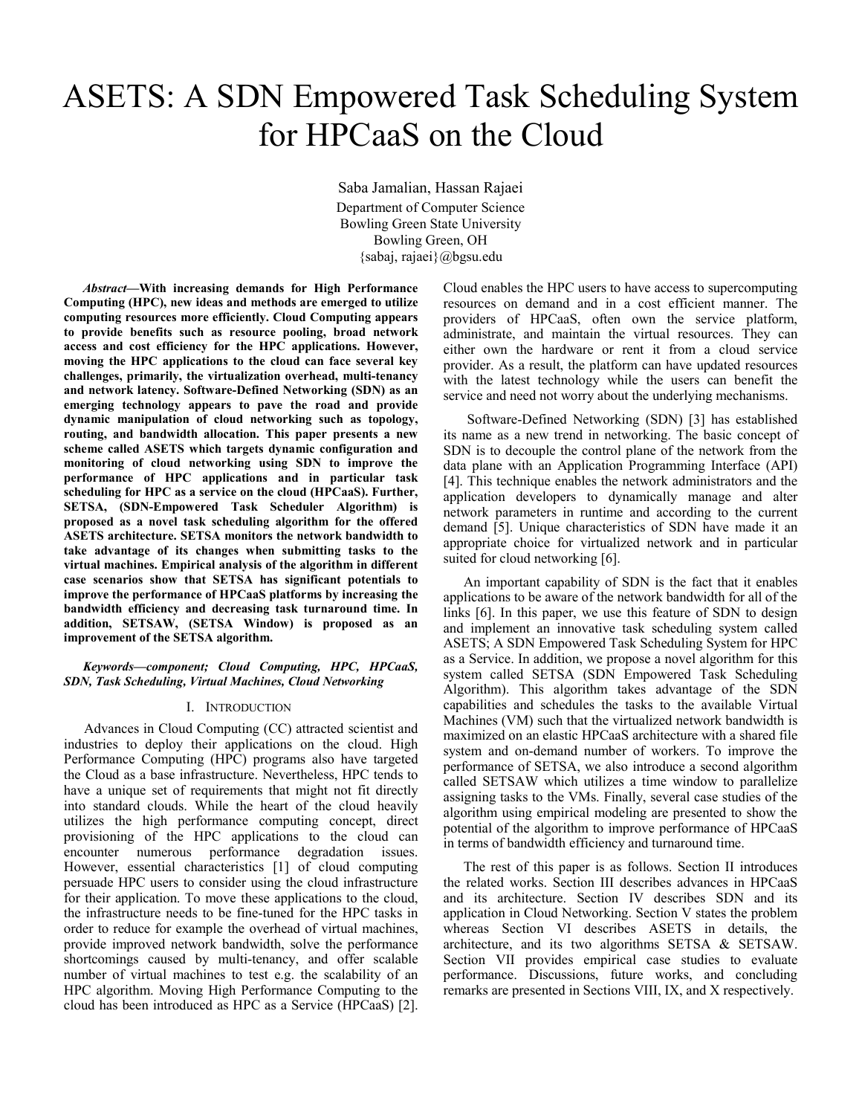# ASETS: A SDN Empowered Task Scheduling System for HPCaaS on the Cloud

Saba Jamalian, Hassan Rajaei Department of Computer Science Bowling Green State University Bowling Green, OH {sabaj, rajaei}@bgsu.edu

*Abstract***—With increasing demands for High Performance Computing (HPC), new ideas and methods are emerged to utilize computing resources more efficiently. Cloud Computing appears to provide benefits such as resource pooling, broad network access and cost efficiency for the HPC applications. However, moving the HPC applications to the cloud can face several key challenges, primarily, the virtualization overhead, multi-tenancy and network latency. Software-Defined Networking (SDN) as an emerging technology appears to pave the road and provide dynamic manipulation of cloud networking such as topology, routing, and bandwidth allocation. This paper presents a new scheme called ASETS which targets dynamic configuration and monitoring of cloud networking using SDN to improve the performance of HPC applications and in particular task scheduling for HPC as a service on the cloud (HPCaaS). Further, SETSA, (SDN-Empowered Task Scheduler Algorithm) is proposed as a novel task scheduling algorithm for the offered ASETS architecture. SETSA monitors the network bandwidth to take advantage of its changes when submitting tasks to the virtual machines. Empirical analysis of the algorithm in different case scenarios show that SETSA has significant potentials to improve the performance of HPCaaS platforms by increasing the bandwidth efficiency and decreasing task turnaround time. In addition, SETSAW, (SETSA Window) is proposed as an improvement of the SETSA algorithm.** 

# *Keywords—component; Cloud Computing, HPC, HPCaaS, SDN, Task Scheduling, Virtual Machines, Cloud Networking*

# I. INTRODUCTION

Advances in Cloud Computing (CC) attracted scientist and industries to deploy their applications on the cloud. High Performance Computing (HPC) programs also have targeted the Cloud as a base infrastructure. Nevertheless, HPC tends to have a unique set of requirements that might not fit directly into standard clouds. While the heart of the cloud heavily utilizes the high performance computing concept, direct provisioning of the HPC applications to the cloud can encounter numerous performance degradation issues. However, essential characteristics [1] of cloud computing persuade HPC users to consider using the cloud infrastructure for their application. To move these applications to the cloud, the infrastructure needs to be fine-tuned for the HPC tasks in order to reduce for example the overhead of virtual machines, provide improved network bandwidth, solve the performance shortcomings caused by multi-tenancy, and offer scalable number of virtual machines to test e.g. the scalability of an HPC algorithm. Moving High Performance Computing to the cloud has been introduced as HPC as a Service (HPCaaS) [2].

Cloud enables the HPC users to have access to supercomputing resources on demand and in a cost efficient manner. The providers of HPCaaS, often own the service platform, administrate, and maintain the virtual resources. They can either own the hardware or rent it from a cloud service provider. As a result, the platform can have updated resources with the latest technology while the users can benefit the service and need not worry about the underlying mechanisms.

 Software-Defined Networking (SDN) [3] has established its name as a new trend in networking. The basic concept of SDN is to decouple the control plane of the network from the data plane with an Application Programming Interface (API) [4]. This technique enables the network administrators and the application developers to dynamically manage and alter network parameters in runtime and according to the current demand [5]. Unique characteristics of SDN have made it an appropriate choice for virtualized network and in particular suited for cloud networking [6].

An important capability of SDN is the fact that it enables applications to be aware of the network bandwidth for all of the links [6]. In this paper, we use this feature of SDN to design and implement an innovative task scheduling system called ASETS; A SDN Empowered Task Scheduling System for HPC as a Service. In addition, we propose a novel algorithm for this system called SETSA (SDN Empowered Task Scheduling Algorithm). This algorithm takes advantage of the SDN capabilities and schedules the tasks to the available Virtual Machines (VM) such that the virtualized network bandwidth is maximized on an elastic HPCaaS architecture with a shared file system and on-demand number of workers. To improve the performance of SETSA, we also introduce a second algorithm called SETSAW which utilizes a time window to parallelize assigning tasks to the VMs. Finally, several case studies of the algorithm using empirical modeling are presented to show the potential of the algorithm to improve performance of HPCaaS in terms of bandwidth efficiency and turnaround time.

The rest of this paper is as follows. Section II introduces the related works. Section III describes advances in HPCaaS and its architecture. Section IV describes SDN and its application in Cloud Networking. Section V states the problem whereas Section VI describes ASETS in details, the architecture, and its two algorithms SETSA & SETSAW. Section VII provides empirical case studies to evaluate performance. Discussions, future works, and concluding remarks are presented in Sections VIII, IX, and X respectively.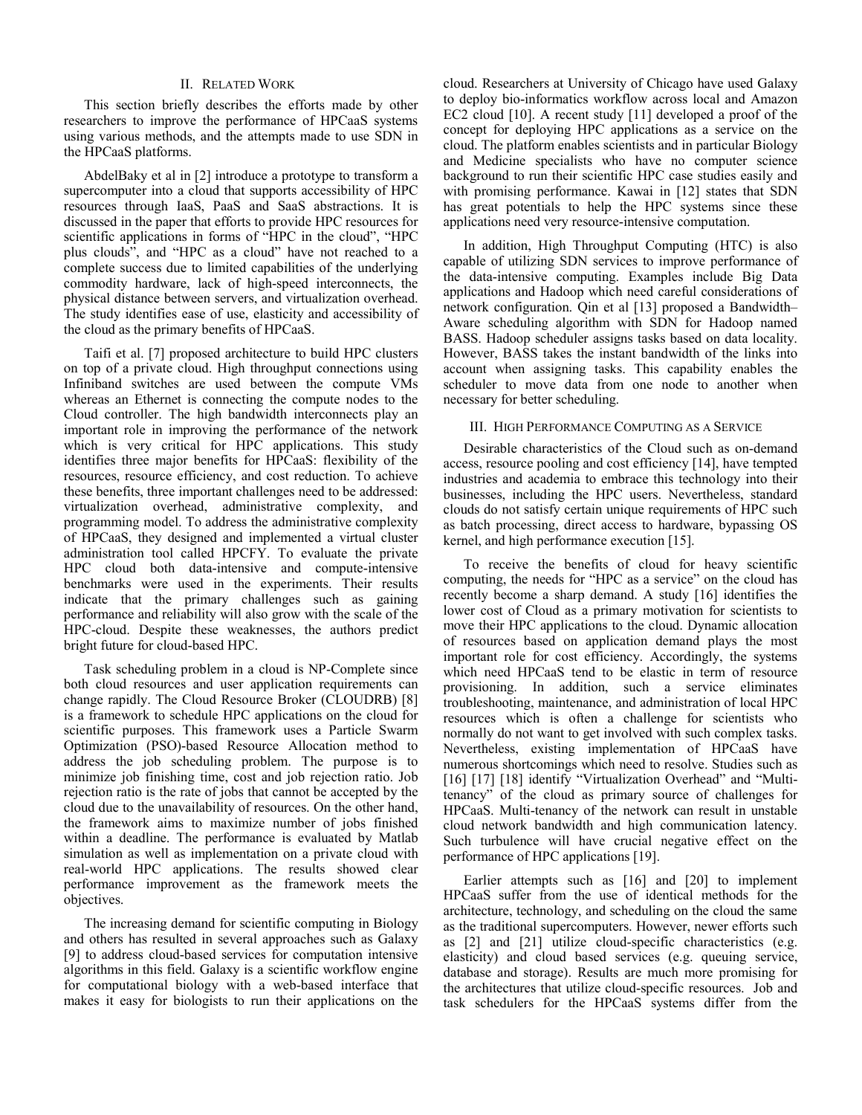# II. RELATED WORK

 This section briefly describes the efforts made by other researchers to improve the performance of HPCaaS systems using various methods, and the attempts made to use SDN in the HPCaaS platforms.

 AbdelBaky et al in [2] introduce a prototype to transform a supercomputer into a cloud that supports accessibility of HPC resources through IaaS, PaaS and SaaS abstractions. It is discussed in the paper that efforts to provide HPC resources for scientific applications in forms of "HPC in the cloud", "HPC plus clouds", and "HPC as a cloud" have not reached to a complete success due to limited capabilities of the underlying commodity hardware, lack of high-speed interconnects, the physical distance between servers, and virtualization overhead. The study identifies ease of use, elasticity and accessibility of the cloud as the primary benefits of HPCaaS.

 Taifi et al. [7] proposed architecture to build HPC clusters on top of a private cloud. High throughput connections using Infiniband switches are used between the compute VMs whereas an Ethernet is connecting the compute nodes to the Cloud controller. The high bandwidth interconnects play an important role in improving the performance of the network which is very critical for HPC applications. This study identifies three major benefits for HPCaaS: flexibility of the resources, resource efficiency, and cost reduction. To achieve these benefits, three important challenges need to be addressed: virtualization overhead, administrative complexity, and programming model. To address the administrative complexity of HPCaaS, they designed and implemented a virtual cluster administration tool called HPCFY. To evaluate the private HPC cloud both data-intensive and compute-intensive benchmarks were used in the experiments. Their results indicate that the primary challenges such as gaining performance and reliability will also grow with the scale of the HPC-cloud. Despite these weaknesses, the authors predict bright future for cloud-based HPC.

 Task scheduling problem in a cloud is NP-Complete since both cloud resources and user application requirements can change rapidly. The Cloud Resource Broker (CLOUDRB) [8] is a framework to schedule HPC applications on the cloud for scientific purposes. This framework uses a Particle Swarm Optimization (PSO)-based Resource Allocation method to address the job scheduling problem. The purpose is to minimize job finishing time, cost and job rejection ratio. Job rejection ratio is the rate of jobs that cannot be accepted by the cloud due to the unavailability of resources. On the other hand, the framework aims to maximize number of jobs finished within a deadline. The performance is evaluated by Matlab simulation as well as implementation on a private cloud with real-world HPC applications. The results showed clear performance improvement as the framework meets the objectives.

 The increasing demand for scientific computing in Biology and others has resulted in several approaches such as Galaxy [9] to address cloud-based services for computation intensive algorithms in this field. Galaxy is a scientific workflow engine for computational biology with a web-based interface that makes it easy for biologists to run their applications on the

cloud. Researchers at University of Chicago have used Galaxy to deploy bio-informatics workflow across local and Amazon EC2 cloud [10]. A recent study [11] developed a proof of the concept for deploying HPC applications as a service on the cloud. The platform enables scientists and in particular Biology and Medicine specialists who have no computer science background to run their scientific HPC case studies easily and with promising performance. Kawai in [12] states that SDN has great potentials to help the HPC systems since these applications need very resource-intensive computation.

In addition, High Throughput Computing (HTC) is also capable of utilizing SDN services to improve performance of the data-intensive computing. Examples include Big Data applications and Hadoop which need careful considerations of network configuration. Qin et al [13] proposed a Bandwidth– Aware scheduling algorithm with SDN for Hadoop named BASS. Hadoop scheduler assigns tasks based on data locality. However, BASS takes the instant bandwidth of the links into account when assigning tasks. This capability enables the scheduler to move data from one node to another when necessary for better scheduling.

# III. HIGH PERFORMANCE COMPUTING AS A SERVICE

Desirable characteristics of the Cloud such as on-demand access, resource pooling and cost efficiency [14], have tempted industries and academia to embrace this technology into their businesses, including the HPC users. Nevertheless, standard clouds do not satisfy certain unique requirements of HPC such as batch processing, direct access to hardware, bypassing OS kernel, and high performance execution [15].

To receive the benefits of cloud for heavy scientific computing, the needs for "HPC as a service" on the cloud has recently become a sharp demand. A study [16] identifies the lower cost of Cloud as a primary motivation for scientists to move their HPC applications to the cloud. Dynamic allocation of resources based on application demand plays the most important role for cost efficiency. Accordingly, the systems which need HPCaaS tend to be elastic in term of resource provisioning. In addition, such a service eliminates troubleshooting, maintenance, and administration of local HPC resources which is often a challenge for scientists who normally do not want to get involved with such complex tasks. Nevertheless, existing implementation of HPCaaS have numerous shortcomings which need to resolve. Studies such as [16] [17] [18] identify "Virtualization Overhead" and "Multitenancy" of the cloud as primary source of challenges for HPCaaS. Multi-tenancy of the network can result in unstable cloud network bandwidth and high communication latency. Such turbulence will have crucial negative effect on the performance of HPC applications [19].

Earlier attempts such as [16] and [20] to implement HPCaaS suffer from the use of identical methods for the architecture, technology, and scheduling on the cloud the same as the traditional supercomputers. However, newer efforts such as [2] and [21] utilize cloud-specific characteristics (e.g. elasticity) and cloud based services (e.g. queuing service, database and storage). Results are much more promising for the architectures that utilize cloud-specific resources. Job and task schedulers for the HPCaaS systems differ from the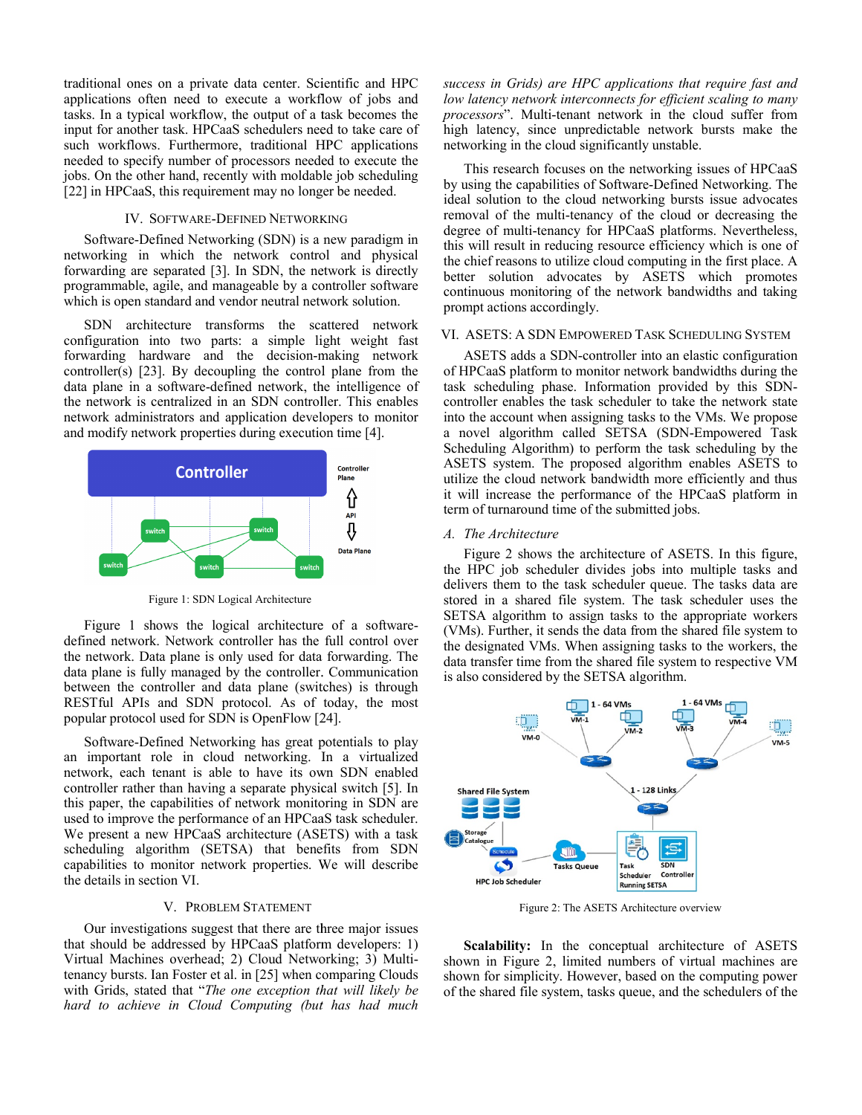traditional ones on a private data center. Scientific and HPC applications often need to execute a workflow of jobs and tasks. In a typical workflow, the output of a task becomes the input for another task. HPCaaS schedulers need to take care of such workflows. Furthermore, traditional HPC applications needed to specify number of processors needed to execute the jobs. On the other hand, recently with moldable job scheduling [22] in HPCaaS, this requirement may no longer be needed.

# IV. SOFTWARE-DEFINED NETWORKING

Software-Defined Networking (SDN) is a new paradigm in networking in which the network control and physical forwarding are separated [3]. In SDN, the network is directly programmable, agile, and manageable by a controller software which is open standard and vendor neutral network solution.

SDN architecture transforms the scattered network configuration into two parts: a simple light weight fast forwarding hardware and the decision-m making network  $controller(s)$  [23]. By decoupling the control plane from the data plane in a software-defined network, th he intelligence of the network is centralized in an SDN controller. This enables network administrators and application developers to monitor and modify network properties during execution time [4].



Figure 1: SDN Logical Architecture

Figure 1 shows the logical architecture of a softwaredefined network. Network controller has the full control over the network. Data plane is only used for data a forwarding. The data plane is fully managed by the controller. . Communication between the controller and data plane (switches) is through RESTful APIs and SDN protocol. As of today, the most popular protocol used for SDN is OpenFlow [2 24].

Software-Defined Networking has great potentials to play an important role in cloud networking. I In a virtualized network, each tenant is able to have its own SDN enabled controller rather than having a separate physical switch [5]. In this paper, the capabilities of network monitoring in SDN are used to improve the performance of an HPCaaS task scheduler. We present a new HPCaaS architecture (ASE ETS) with a task scheduling algorithm (SETSA) that benefits from SDN capabilities to monitor network properties. We will describe the details in section VI.

# V. PROBLEM STATEMENT

Our investigations suggest that there are three major issues that should be addressed by HPCaaS platform m developers: 1) Virtual Machines overhead; 2) Cloud Networking; 3) Multitenancy bursts. Ian Foster et al. in [25] when c omparing Clouds with Grids, stated that "The one exception that will likely be hard to achieve in Cloud Computing (but has had much success in Grids) are HPC applications that require fast and *low latency network interconnects f for efficient scaling to many processors*". Multi-tenant network in the cloud suffer from high latency, since unpredictable network bursts make the networking in the cloud significantly unstable.

This research focuses on the networking issues of HPCaaS by using the capabilities of Software-Defined Networking. The ideal solution to the cloud networking bursts issue advocates removal of the multi-tenancy of the cloud or decreasing the degree of multi-tenancy for HPCaaS platforms. Nevertheless, this will result in reducing resource e efficiency which is one of the chief reasons to utilize cloud computing in the first place. A better solution advocates by A ASETS which promotes continuous monitoring of the netw ork bandwidths and taking prompt actions accordingly.

# VI. ASETS: A SDN EMPOWERED TASK SCHEDULING SYSTEM

ASETS adds a SDN-controller i into an elastic configuration of HPCaaS platform to monitor network bandwidths during the task scheduling phase. Informatio n provided by this SDNcontroller enables the task scheduler to take the network state into the account when assigning tasks to the VMs. We propose a novel algorithm called SETSA A (SDN-Empowered Task Scheduling Algorithm) to perform the task scheduling by the ASETS system. The proposed alg gorithm enables ASETS to utilize the cloud network bandwidth h more efficiently and thus it will increase the performance of the HPCaaS platform in term of turnaround time of the submitted jobs.

#### *A. The Architecture*

Figure 2 shows the architecture of ASETS. In this figure, the HPC job scheduler divides jobs into multiple tasks and delivers them to the task scheduler queue. The tasks data are stored in a shared file system. Th he task scheduler uses the SETSA algorithm to assign tasks to the appropriate workers (VMs). Further, it sends the data from the shared file system to the designated VMs. When assignin ng tasks to the workers, the data transfer time from the shared file system to respective VM is also considered by the SETSA algorithm.



Figure 2: The ASETS Architecture overview

**Scalability:** In the conceptual architecture of ASETS shown in Figure 2, limited numbers of virtual machines are shown for simplicity. However, bas ed on the computing power of the shared file system, tasks queue, and the schedulers of the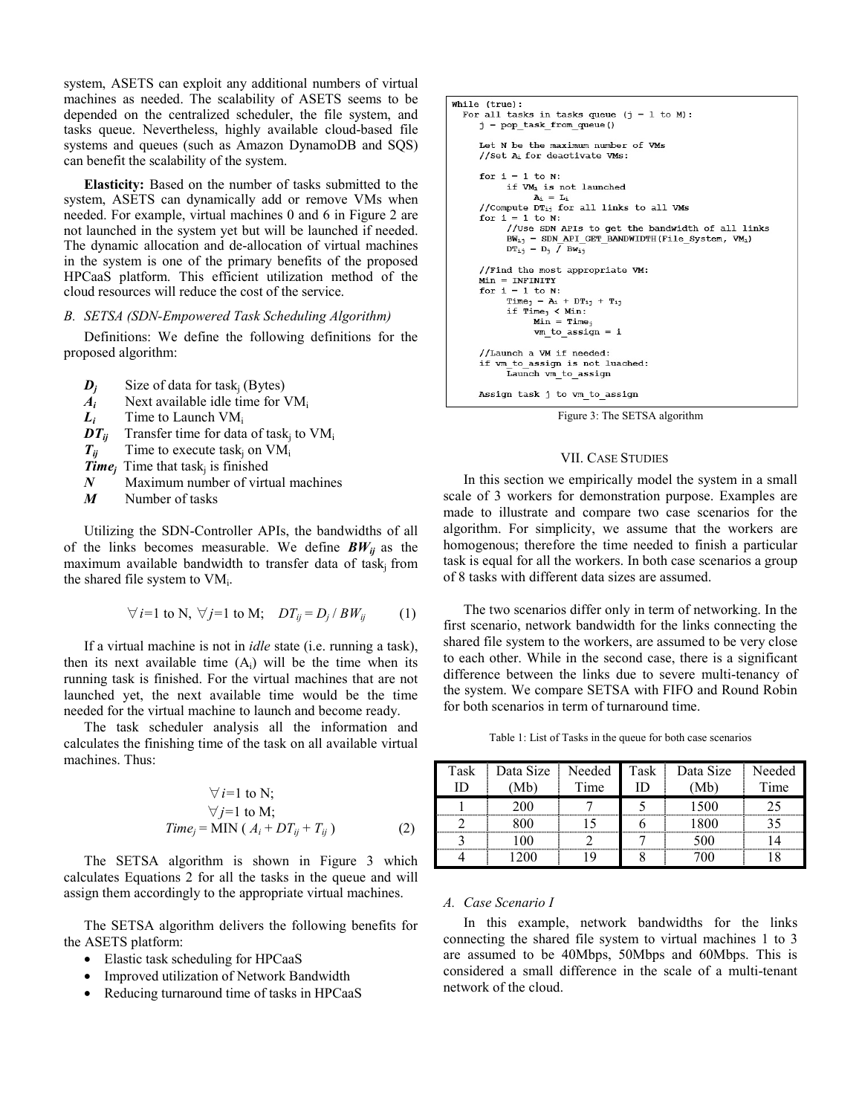system, ASETS can exploit any additional numbers of virtual machines as needed. The scalability of ASETS seems to be depended on the centralized scheduler, the file system, and tasks queue. Nevertheless, highly available cloud-based file systems and queues (such as Amazon DynamoDB and SQS) can benefit the scalability of the system.

**Elasticity:** Based on the number of tasks submitted to the system, ASETS can dynamically add or remove VMs when needed. For example, virtual machines 0 and 6 in Figure 2 are not launched in the system yet but will be launched if needed. The dynamic allocation and de-allocation of virtual machines in the system is one of the primary benefits of the proposed HPCaaS platform. This efficient utilization method of the cloud resources will reduce the cost of the service.

# *B. SETSA (SDN-Empowered Task Scheduling Algorithm)*

Definitions: We define the following definitions for the proposed algorithm:

- $D_i$  Size of data for task<sub>i</sub> (Bytes)
- $\overline{A_i}$  Next available idle time for VM<sub>i</sub>
- 
- $L_i$  Time to Launch VM<sub>i</sub><br> $DT_{ii}$  Transfer time for data Transfer time for data of task<sub>i</sub> to  $VM_i$
- $T_{ij}$  Time to execute task<sub>j</sub> on  $VM_i$
- *Time<sub>i</sub>* Time that task<sub>i</sub> is finished
- *N* Maximum number of virtual machines
- *M* Number of tasks

Utilizing the SDN-Controller APIs, the bandwidths of all of the links becomes measurable. We define  $BW_{ij}$  as the maximum available bandwidth to transfer data of task<sub>i</sub> from the shared file system to  $VM_i$ .

$$
\forall i=1 \text{ to } N, \ \forall j=1 \text{ to } M; \quad DT_{ij} = D_j / BW_{ij} \tag{1}
$$

If a virtual machine is not in *idle* state (i.e. running a task), then its next available time  $(A_i)$  will be the time when its running task is finished. For the virtual machines that are not launched yet, the next available time would be the time needed for the virtual machine to launch and become ready.

The task scheduler analysis all the information and calculates the finishing time of the task on all available virtual machines. Thus:

$$
\forall i=1 \text{ to N};
$$
  
\n
$$
\forall j=1 \text{ to M};
$$
  
\n
$$
Time_j = MIN(A_i + DT_{ij} + T_{ij})
$$
 (2)

The SETSA algorithm is shown in Figure 3 which calculates Equations 2 for all the tasks in the queue and will assign them accordingly to the appropriate virtual machines.

The SETSA algorithm delivers the following benefits for the ASETS platform:

- Elastic task scheduling for HPCaaS
- Improved utilization of Network Bandwidth
- Reducing turnaround time of tasks in HPCaaS

While (true): For all tasks in tasks queue ( $j = 1$  to M):  $j = pop\_task\_from\_queue()$ Let N be the maximum number of VMs //Set  $A_i$  for deactivate VMs: for  $i = 1$  to  $N$ : if VMi is not launched  $A_i = L_i$ //Compute DT<sub>ij</sub> for all links to all VMs for  $i = 1$  to N:<br>//Use SDN APIs to get the bandwidth of all links  $BW_{ij}$  = SDN API GET BANDWIDTH (File System, VM<sub>i</sub>)  $DT_{ij} = D_j \overline{}/ Bw_{ij}$ //Find the most appropriate VM:  $Min = INFINITE$ for  $i = 1$  to  $N$ :  $Time<sub>j</sub> = A<sub>i</sub> + DT<sub>ij</sub> + T<sub>ij</sub>$ if  $\texttt{Time}_j$  <  $\texttt{Min}\colon$  $Min = Time<sub>j</sub>$  $vm$  to assign = i //Launch a VM if needed: if vm to assign is not luached: Launch vm to assign Assign task j to vm to assign

Figure 3: The SETSA algorithm

## VII. CASE STUDIES

In this section we empirically model the system in a small scale of 3 workers for demonstration purpose. Examples are made to illustrate and compare two case scenarios for the algorithm. For simplicity, we assume that the workers are homogenous; therefore the time needed to finish a particular task is equal for all the workers. In both case scenarios a group of 8 tasks with different data sizes are assumed.

The two scenarios differ only in term of networking. In the first scenario, network bandwidth for the links connecting the shared file system to the workers, are assumed to be very close to each other. While in the second case, there is a significant difference between the links due to severe multi-tenancy of the system. We compare SETSA with FIFO and Round Robin for both scenarios in term of turnaround time.

Table 1: List of Tasks in the queue for both case scenarios

| Task | Data Size | Needed  <br>Time | Task<br>Ш | Data Size | Needed<br>Time |
|------|-----------|------------------|-----------|-----------|----------------|
|      | 200       |                  |           | 1500      |                |
|      |           |                  |           | 1800      |                |
|      |           |                  |           | 500       |                |
|      | 200       |                  |           |           |                |

# *A. Case Scenario I*

In this example, network bandwidths for the links connecting the shared file system to virtual machines 1 to 3 are assumed to be 40Mbps, 50Mbps and 60Mbps. This is considered a small difference in the scale of a multi-tenant network of the cloud.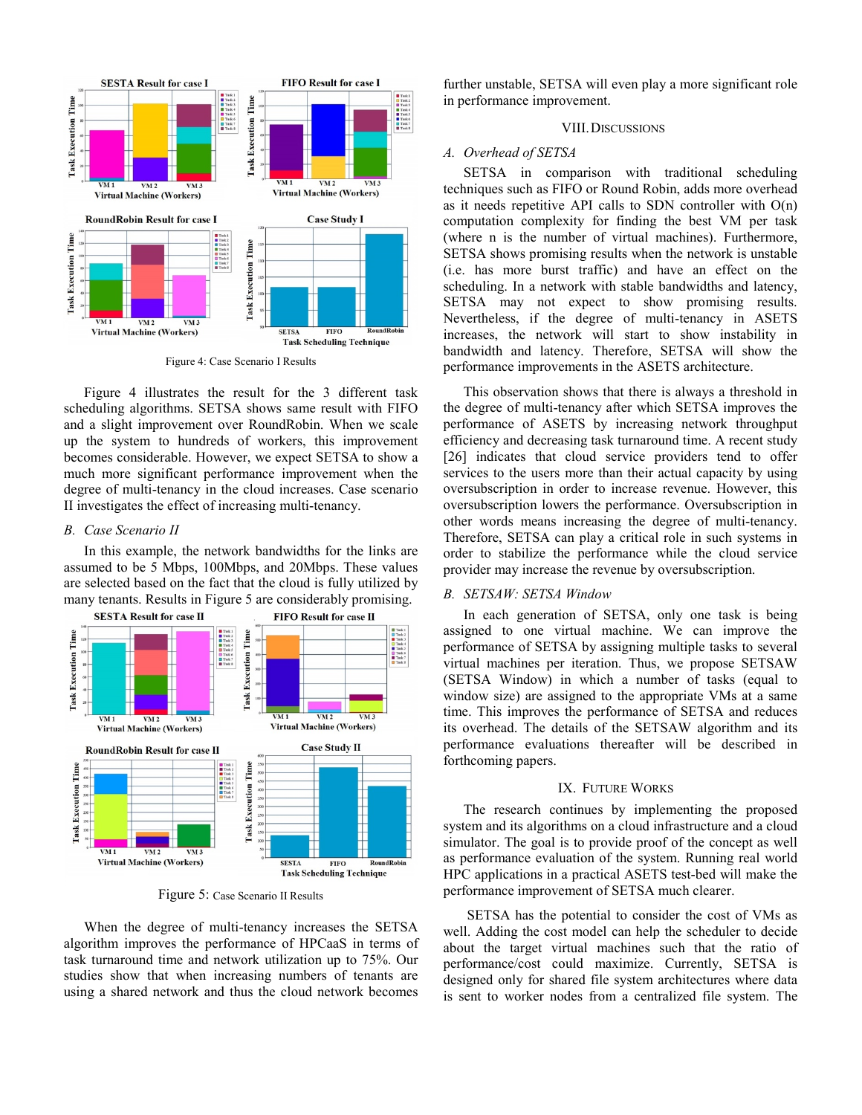

Figure 4: Case Scenario I Results

Figure 4 illustrates the result for the 3 different task scheduling algorithms. SETSA shows same result with FIFO and a slight improvement over RoundRobin. When we scale up the system to hundreds of workers, this improvement becomes considerable. However, we expect SETSA to show a much more significant performance improvement when the degree of multi-tenancy in the cloud increases. Case scenario II investigates the effect of increasing multi-tenancy.

#### *B. Case Scenario II*

In this example, the network bandwidths for the links are assumed to be 5 Mbps, 100Mbps, and 20Mbps. These values are selected based on the fact that the cloud is fully utilized by many tenants. Results in Figure 5 are considerably promising.



Figure 5: Case Scenario II Results

When the degree of multi-tenancy increases the SETSA algorithm improves the performance of HPCaaS in terms of task turnaround time and network utilization up to 75%. Our studies show that when increasing numbers of tenants are using a shared network and thus the cloud network becomes

further unstable, SETSA will even play a more significant role in performance improvement.

# VIII.DISCUSSIONS

# *A. Overhead of SETSA*

SETSA in comparison with traditional scheduling techniques such as FIFO or Round Robin, adds more overhead as it needs repetitive API calls to SDN controller with  $O(n)$ computation complexity for finding the best VM per task (where n is the number of virtual machines). Furthermore, SETSA shows promising results when the network is unstable (i.e. has more burst traffic) and have an effect on the scheduling. In a network with stable bandwidths and latency, SETSA may not expect to show promising results. Nevertheless, if the degree of multi-tenancy in ASETS increases, the network will start to show instability in bandwidth and latency. Therefore, SETSA will show the performance improvements in the ASETS architecture.

This observation shows that there is always a threshold in the degree of multi-tenancy after which SETSA improves the performance of ASETS by increasing network throughput efficiency and decreasing task turnaround time. A recent study [26] indicates that cloud service providers tend to offer services to the users more than their actual capacity by using oversubscription in order to increase revenue. However, this oversubscription lowers the performance. Oversubscription in other words means increasing the degree of multi-tenancy. Therefore, SETSA can play a critical role in such systems in order to stabilize the performance while the cloud service provider may increase the revenue by oversubscription.

# *B. SETSAW: SETSA Window*

In each generation of SETSA, only one task is being assigned to one virtual machine. We can improve the performance of SETSA by assigning multiple tasks to several virtual machines per iteration. Thus, we propose SETSAW (SETSA Window) in which a number of tasks (equal to window size) are assigned to the appropriate VMs at a same time. This improves the performance of SETSA and reduces its overhead. The details of the SETSAW algorithm and its performance evaluations thereafter will be described in forthcoming papers.

# IX. FUTURE WORKS

The research continues by implementing the proposed system and its algorithms on a cloud infrastructure and a cloud simulator. The goal is to provide proof of the concept as well as performance evaluation of the system. Running real world HPC applications in a practical ASETS test-bed will make the performance improvement of SETSA much clearer.

 SETSA has the potential to consider the cost of VMs as well. Adding the cost model can help the scheduler to decide about the target virtual machines such that the ratio of performance/cost could maximize. Currently, SETSA is designed only for shared file system architectures where data is sent to worker nodes from a centralized file system. The